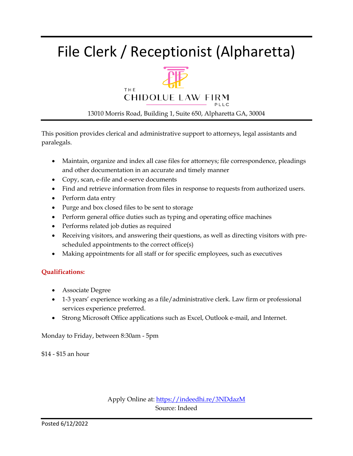### File Clerk / Receptionist (Alpharetta)



#### 13010 Morris Road, Building 1, Suite 650, Alpharetta GA, 30004

This position provides clerical and administrative support to attorneys, legal assistants and paralegals.

- Maintain, organize and index all case files for attorneys; file correspondence, pleadings and other documentation in an accurate and timely manner
- Copy, scan, e-file and e-serve documents
- Find and retrieve information from files in response to requests from authorized users.
- Perform data entry
- Purge and box closed files to be sent to storage
- Perform general office duties such as typing and operating office machines
- Performs related job duties as required
- Receiving visitors, and answering their questions, as well as directing visitors with prescheduled appointments to the correct office(s)
- Making appointments for all staff or for specific employees, such as executives

#### **Qualifications:**

- Associate Degree
- 1-3 years' experience working as a file/administrative clerk. Law firm or professional services experience preferred.
- Strong Microsoft Office applications such as Excel, Outlook e-mail, and Internet.

Monday to Friday, between 8:30am - 5pm

\$14 - \$15 an hour

Apply Online at:<https://indeedhi.re/3NDdazM> Source: Indeed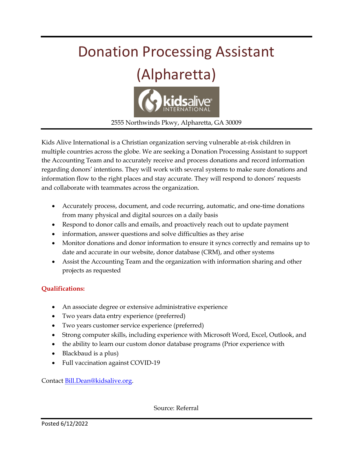

Kids Alive International is a Christian organization serving vulnerable at-risk children in multiple countries across the globe. We are seeking a Donation Processing Assistant to support the Accounting Team and to accurately receive and process donations and record information regarding donors' intentions. They will work with several systems to make sure donations and information flow to the right places and stay accurate. They will respond to donors' requests and collaborate with teammates across the organization.

- Accurately process, document, and code recurring, automatic, and one-time donations from many physical and digital sources on a daily basis
- Respond to donor calls and emails, and proactively reach out to update payment
- information, answer questions and solve difficulties as they arise
- Monitor donations and donor information to ensure it syncs correctly and remains up to date and accurate in our website, donor database (CRM), and other systems
- Assist the Accounting Team and the organization with information sharing and other projects as requested

#### **Qualifications:**

- An associate degree or extensive administrative experience
- Two years data entry experience (preferred)
- Two years customer service experience (preferred)
- Strong computer skills, including experience with Microsoft Word, Excel, Outlook, and
- the ability to learn our custom donor database programs (Prior experience with
- Blackbaud is a plus)
- Full vaccination against COVID-19

Contact [Bill.Dean@kidsalive.org.](mailto:Bill.Dean@kidsalive.org)

Source: Referral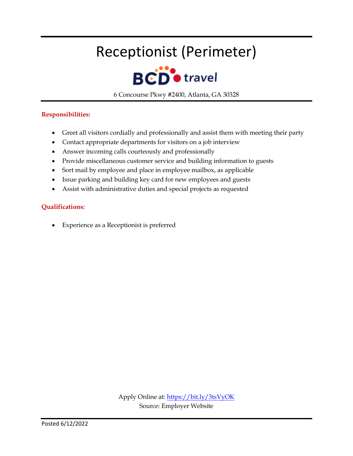### Receptionist (Perimeter)



6 Concourse Pkwy #2400, Atlanta, GA 30328

#### **Responsibilities:**

- Greet all visitors cordially and professionally and assist them with meeting their party
- Contact appropriate departments for visitors on a job interview
- Answer incoming calls courteously and professionally
- Provide miscellaneous customer service and building information to guests
- Sort mail by employee and place in employee mailbox, as applicable
- Issue parking and building key card for new employees and guests
- Assist with administrative duties and special projects as requested

#### **Qualifications:**

Experience as a Receptionist is preferred

Apply Online at[: https://bit.ly/3tsVyOK](https://bit.ly/3tsVyOK) Source: Employer Website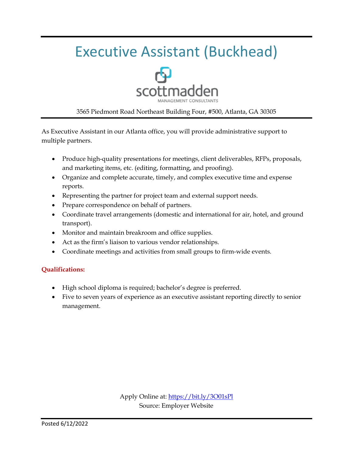### Executive Assistant (Buckhead)



#### 3565 Piedmont Road Northeast Building Four, #500, Atlanta, GA 30305

As Executive Assistant in our Atlanta office, you will provide administrative support to multiple partners.

- Produce high-quality presentations for meetings, client deliverables, RFPs, proposals, and marketing items, etc. (editing, formatting, and proofing).
- Organize and complete accurate, timely, and complex executive time and expense reports.
- Representing the partner for project team and external support needs.
- Prepare correspondence on behalf of partners.
- Coordinate travel arrangements (domestic and international for air, hotel, and ground transport).
- Monitor and maintain breakroom and office supplies.
- Act as the firm's liaison to various vendor relationships.
- Coordinate meetings and activities from small groups to firm-wide events.

#### **Qualifications:**

- High school diploma is required; bachelor's degree is preferred.
- Five to seven years of experience as an executive assistant reporting directly to senior management.

Apply Online at:<https://bit.ly/3O01sPl> Source: Employer Website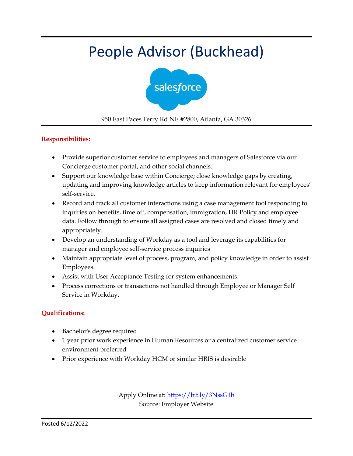### People Advisor (Buckhead)



950 East Paces Ferry Rd NE #2800, Atlanta, GA 30326

#### **Responsibilities:**

- Provide superior customer service to employees and managers of Salesforce via our Concierge customer portal, and other social channels.
- Support our knowledge base within Concierge; close knowledge gaps by creating, updating and improving knowledge articles to keep information relevant for employees' self-service.
- Record and track all customer interactions using a case management tool responding to inquiries on benefits, time off, compensation, immigration, HR Policy and employee data. Follow through to ensure all assigned cases are resolved and closed timely and appropriately.
- Develop an understanding of Workday as a tool and leverage its capabilities for manager and employee self-service process inquiries
- Maintain appropriate level of process, program, and policy knowledge in order to assist Employees.
- Assist with User Acceptance Testing for system enhancements.
- Process corrections or transactions not handled through Employee or Manager Self Service in Workday.

#### **Qualifications:**

- Bachelor's degree required
- 1 year prior work experience in Human Resources or a centralized customer service environment preferred
- Prior experience with Workday HCM or similar HRIS is desirable

Apply Online at:<https://bit.ly/3NssG1b> Source: Employer Website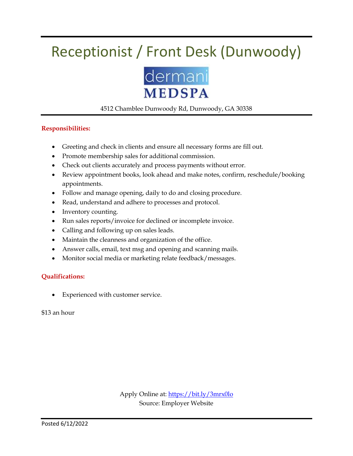### Receptionist / Front Desk (Dunwoody)



#### 4512 Chamblee Dunwoody Rd, Dunwoody, GA 30338

#### **Responsibilities:**

- Greeting and check in clients and ensure all necessary forms are fill out.
- Promote membership sales for additional commission.
- Check out clients accurately and process payments without error.
- Review appointment books, look ahead and make notes, confirm, reschedule/booking appointments.
- Follow and manage opening, daily to do and closing procedure.
- Read, understand and adhere to processes and protocol.
- Inventory counting.
- Run sales reports/invoice for declined or incomplete invoice.
- Calling and following up on sales leads.
- Maintain the cleanness and organization of the office.
- Answer calls, email, text msg and opening and scanning mails.
- Monitor social media or marketing relate feedback/messages.

#### **Qualifications:**

Experienced with customer service.

\$13 an hour

Apply Online at:<https://bit.ly/3mrx0lo> Source: Employer Website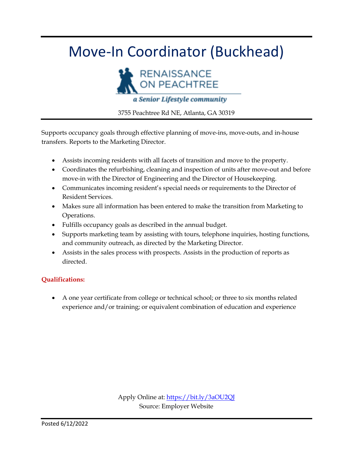### Move-In Coordinator (Buckhead)



3755 Peachtree Rd NE, Atlanta, GA 30319

Supports occupancy goals through effective planning of move-ins, move-outs, and in-house transfers. Reports to the Marketing Director.

- Assists incoming residents with all facets of transition and move to the property.
- Coordinates the refurbishing, cleaning and inspection of units after move-out and before move-in with the Director of Engineering and the Director of Housekeeping.
- Communicates incoming resident's special needs or requirements to the Director of Resident Services.
- Makes sure all information has been entered to make the transition from Marketing to Operations.
- Fulfills occupancy goals as described in the annual budget.
- Supports marketing team by assisting with tours, telephone inquiries, hosting functions, and community outreach, as directed by the Marketing Director.
- Assists in the sales process with prospects. Assists in the production of reports as directed.

#### **Qualifications:**

 A one year certificate from college or technical school; or three to six months related experience and/or training; or equivalent combination of education and experience

> Apply Online at:<https://bit.ly/3aOU2QJ> Source: Employer Website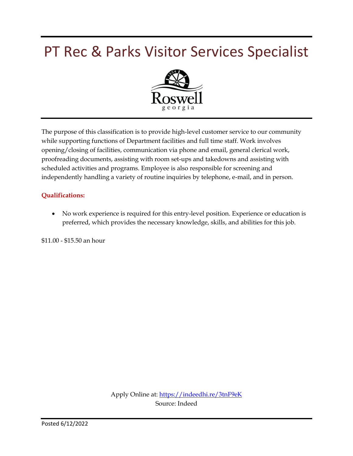### PT Rec & Parks Visitor Services Specialist



The purpose of this classification is to provide high-level customer service to our community while supporting functions of Department facilities and full time staff. Work involves opening/closing of facilities, communication via phone and email, general clerical work, proofreading documents, assisting with room set-ups and takedowns and assisting with scheduled activities and programs. Employee is also responsible for screening and independently handling a variety of routine inquiries by telephone, e-mail, and in person.

#### **Qualifications:**

 No work experience is required for this entry-level position. Experience or education is preferred, which provides the necessary knowledge, skills, and abilities for this job.

\$11.00 - \$15.50 an hour

Apply Online at:<https://indeedhi.re/3tnF9eK> Source: Indeed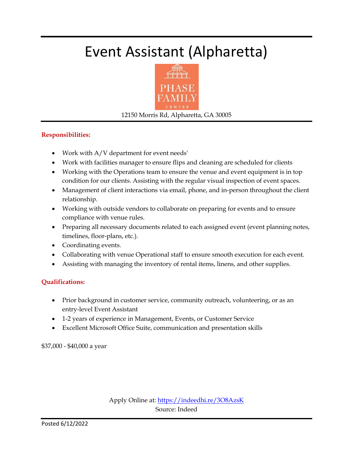### Event Assistant (Alpharetta)



12150 Morris Rd, Alpharetta, GA 30005

#### **Responsibilities:**

- Work with A/V department for event needs'
- Work with facilities manager to ensure flips and cleaning are scheduled for clients
- Working with the Operations team to ensure the venue and event equipment is in top condition for our clients. Assisting with the regular visual inspection of event spaces.
- Management of client interactions via email, phone, and in-person throughout the client relationship.
- Working with outside vendors to collaborate on preparing for events and to ensure compliance with venue rules.
- Preparing all necessary documents related to each assigned event (event planning notes, timelines, floor-plans, etc.).
- Coordinating events.
- Collaborating with venue Operational staff to ensure smooth execution for each event.
- Assisting with managing the inventory of rental items, linens, and other supplies.

#### **Qualifications:**

- Prior background in customer service, community outreach, volunteering, or as an entry-level Event Assistant
- 1-2 years of experience in Management, Events, or Customer Service
- Excellent Microsoft Office Suite, communication and presentation skills

\$37,000 - \$40,000 a year

Apply Online at:<https://indeedhi.re/3O8AzsK> Source: Indeed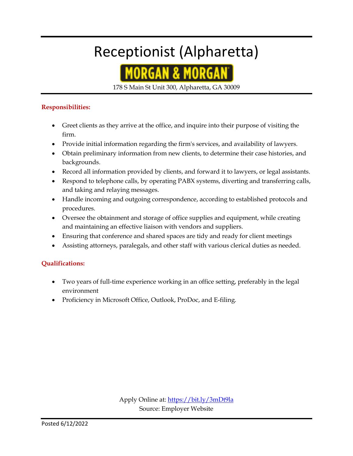### Receptionist (Alpharetta)



178 S Main St Unit 300, Alpharetta, GA 30009

#### **Responsibilities:**

- Greet clients as they arrive at the office, and inquire into their purpose of visiting the firm.
- Provide initial information regarding the firm's services, and availability of lawyers.
- Obtain preliminary information from new clients, to determine their case histories, and backgrounds.
- Record all information provided by clients, and forward it to lawyers, or legal assistants.
- Respond to telephone calls, by operating PABX systems, diverting and transferring calls, and taking and relaying messages.
- Handle incoming and outgoing correspondence, according to established protocols and procedures.
- Oversee the obtainment and storage of office supplies and equipment, while creating and maintaining an effective liaison with vendors and suppliers.
- Ensuring that conference and shared spaces are tidy and ready for client meetings
- Assisting attorneys, paralegals, and other staff with various clerical duties as needed.

#### **Qualifications:**

- Two years of full-time experience working in an office setting, preferably in the legal environment
- Proficiency in Microsoft Office, Outlook, ProDoc, and E-filing.

Apply Online at:<https://bit.ly/3mDt9la> Source: Employer Website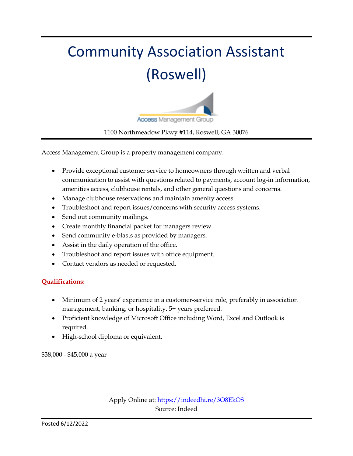# Community Association Assistant (Roswell)



#### 1100 Northmeadow Pkwy #114, Roswell, GA 30076

Access Management Group is a property management company.

- Provide exceptional customer service to homeowners through written and verbal communication to assist with questions related to payments, account log-in information, amenities access, clubhouse rentals, and other general questions and concerns.
- Manage clubhouse reservations and maintain amenity access.
- Troubleshoot and report issues/concerns with security access systems.
- Send out community mailings.
- Create monthly financial packet for managers review.
- Send community e-blasts as provided by managers.
- Assist in the daily operation of the office.
- Troubleshoot and report issues with office equipment.
- Contact vendors as needed or requested.

#### **Qualifications:**

- Minimum of 2 years' experience in a customer-service role, preferably in association management, banking, or hospitality. 5+ years preferred.
- Proficient knowledge of Microsoft Office including Word, Excel and Outlook is required.
- High-school diploma or equivalent.

\$38,000 - \$45,000 a year

Apply Online at:<https://indeedhi.re/3O8EkOS> Source: Indeed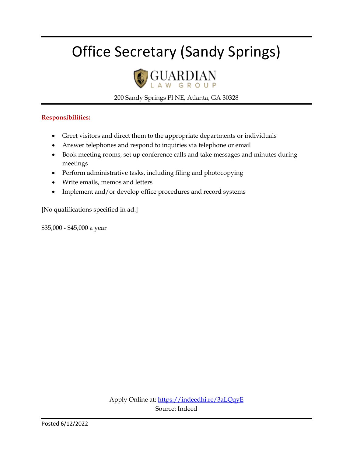### Office Secretary (Sandy Springs)



200 Sandy Springs Pl NE, Atlanta, GA 30328

#### **Responsibilities:**

- Greet visitors and direct them to the appropriate departments or individuals
- Answer telephones and respond to inquiries via telephone or email
- Book meeting rooms, set up conference calls and take messages and minutes during meetings
- Perform administrative tasks, including filing and photocopying
- Write emails, memos and letters
- Implement and/or develop office procedures and record systems

[No qualifications specified in ad.]

\$35,000 - \$45,000 a year

Apply Online at:<https://indeedhi.re/3aLQqyE> Source: Indeed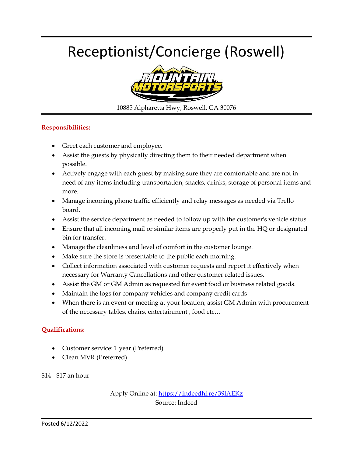### Receptionist/Concierge (Roswell)



10885 Alpharetta Hwy, Roswell, GA 30076

#### **Responsibilities:**

- Greet each customer and employee.
- Assist the guests by physically directing them to their needed department when possible.
- Actively engage with each guest by making sure they are comfortable and are not in need of any items including transportation, snacks, drinks, storage of personal items and more.
- Manage incoming phone traffic efficiently and relay messages as needed via Trello board.
- Assist the service department as needed to follow up with the customer's vehicle status.
- Ensure that all incoming mail or similar items are properly put in the HQ or designated bin for transfer.
- Manage the cleanliness and level of comfort in the customer lounge.
- Make sure the store is presentable to the public each morning.
- Collect information associated with customer requests and report it effectively when necessary for Warranty Cancellations and other customer related issues.
- Assist the GM or GM Admin as requested for event food or business related goods.
- Maintain the logs for company vehicles and company credit cards
- When there is an event or meeting at your location, assist GM Admin with procurement of the necessary tables, chairs, entertainment , food etc…

#### **Qualifications:**

- Customer service: 1 year (Preferred)
- Clean MVR (Preferred)

\$14 - \$17 an hour

Apply Online at:<https://indeedhi.re/39lAEKz> Source: Indeed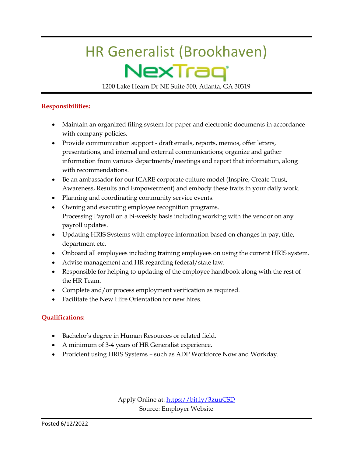# HR Generalist (Brookhaven) NexTraq

1200 Lake Hearn Dr NE Suite 500, Atlanta, GA 30319

#### **Responsibilities:**

- Maintain an organized filing system for paper and electronic documents in accordance with company policies.
- Provide communication support draft emails, reports, memos, offer letters, presentations, and internal and external communications; organize and gather information from various departments/meetings and report that information, along with recommendations.
- Be an ambassador for our ICARE corporate culture model (Inspire, Create Trust, Awareness, Results and Empowerment) and embody these traits in your daily work.
- Planning and coordinating community service events.
- Owning and executing employee recognition programs. Processing Payroll on a bi-weekly basis including working with the vendor on any payroll updates.
- Updating HRIS Systems with employee information based on changes in pay, title, department etc.
- Onboard all employees including training employees on using the current HRIS system.
- Advise management and HR regarding federal/state law.
- Responsible for helping to updating of the employee handbook along with the rest of the HR Team.
- Complete and/or process employment verification as required.
- Facilitate the New Hire Orientation for new hires.

#### **Qualifications:**

- Bachelor's degree in Human Resources or related field.
- A minimum of 3-4 years of HR Generalist experience.
- Proficient using HRIS Systems such as ADP Workforce Now and Workday.

Apply Online at[: https://bit.ly/3zuuCSD](https://bit.ly/3zuuCSD) Source: Employer Website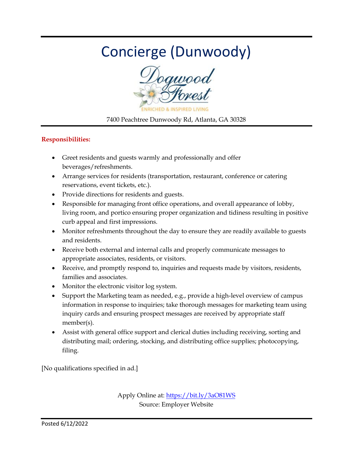### Concierge (Dunwoody)



7400 Peachtree Dunwoody Rd, Atlanta, GA 30328

#### **Responsibilities:**

- Greet residents and guests warmly and professionally and offer beverages/refreshments.
- Arrange services for residents (transportation, restaurant, conference or catering reservations, event tickets, etc.).
- Provide directions for residents and guests.
- Responsible for managing front office operations, and overall appearance of lobby, living room, and portico ensuring proper organization and tidiness resulting in positive curb appeal and first impressions.
- Monitor refreshments throughout the day to ensure they are readily available to guests and residents.
- Receive both external and internal calls and properly communicate messages to appropriate associates, residents, or visitors.
- Receive, and promptly respond to, inquiries and requests made by visitors, residents, families and associates.
- Monitor the electronic visitor log system.
- Support the Marketing team as needed, e.g., provide a high-level overview of campus information in response to inquiries; take thorough messages for marketing team using inquiry cards and ensuring prospect messages are received by appropriate staff member(s).
- Assist with general office support and clerical duties including receiving, sorting and distributing mail; ordering, stocking, and distributing office supplies; photocopying, filing.

[No qualifications specified in ad.]

Apply Online at:<https://bit.ly/3aO81WS> Source: Employer Website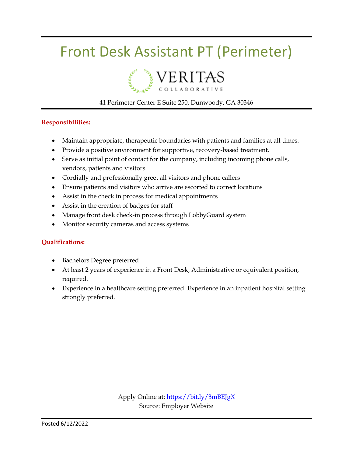### Front Desk Assistant PT (Perimeter)



#### 41 Perimeter Center E Suite 250, Dunwoody, GA 30346

#### **Responsibilities:**

- Maintain appropriate, therapeutic boundaries with patients and families at all times.
- Provide a positive environment for supportive, recovery-based treatment.
- Serve as initial point of contact for the company, including incoming phone calls, vendors, patients and visitors
- Cordially and professionally greet all visitors and phone callers
- Ensure patients and visitors who arrive are escorted to correct locations
- Assist in the check in process for medical appointments
- Assist in the creation of badges for staff
- Manage front desk check-in process through LobbyGuard system
- Monitor security cameras and access systems

#### **Qualifications:**

- Bachelors Degree preferred
- At least 2 years of experience in a Front Desk, Administrative or equivalent position, required.
- Experience in a healthcare setting preferred. Experience in an inpatient hospital setting strongly preferred.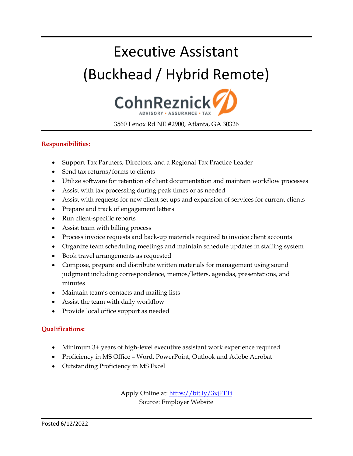# Executive Assistant (Buckhead / Hybrid Remote)



3560 Lenox Rd NE #2900, Atlanta, GA 30326

#### **Responsibilities:**

- Support Tax Partners, Directors, and a Regional Tax Practice Leader
- Send tax returns/forms to clients
- Utilize software for retention of client documentation and maintain workflow processes
- Assist with tax processing during peak times or as needed
- Assist with requests for new client set ups and expansion of services for current clients
- Prepare and track of engagement letters
- Run client-specific reports
- Assist team with billing process
- Process invoice requests and back-up materials required to invoice client accounts
- Organize team scheduling meetings and maintain schedule updates in staffing system
- Book travel arrangements as requested
- Compose, prepare and distribute written materials for management using sound judgment including correspondence, memos/letters, agendas, presentations, and minutes
- Maintain team's contacts and mailing lists
- Assist the team with daily workflow
- Provide local office support as needed

#### **Qualifications:**

- Minimum 3+ years of high-level executive assistant work experience required
- Proficiency in MS Office Word, PowerPoint, Outlook and Adobe Acrobat
- Outstanding Proficiency in MS Excel

Apply Online at[: https://bit.ly/3xjFTTi](https://bit.ly/3xjFTTi) Source: Employer Website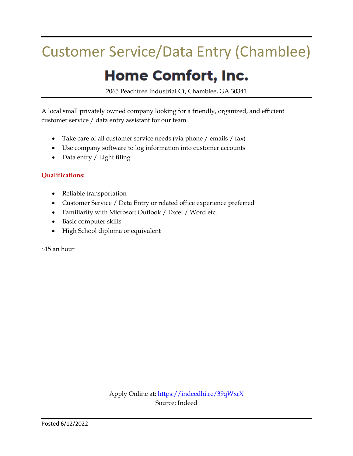### Customer Service/Data Entry (Chamblee)

### **Home Comfort, Inc.**

2065 Peachtree Industrial Ct, Chamblee, GA 30341

A local small privately owned company looking for a friendly, organized, and efficient customer service / data entry assistant for our team.

- Take care of all customer service needs (via phone / emails / fax)
- Use company software to log information into customer accounts
- Data entry / Light filing

#### **Qualifications:**

- Reliable transportation
- Customer Service / Data Entry or related office experience preferred
- Familiarity with Microsoft Outlook / Excel / Word etc.
- Basic computer skills
- High School diploma or equivalent

\$15 an hour

Apply Online at:<https://indeedhi.re/39qWxrX> Source: Indeed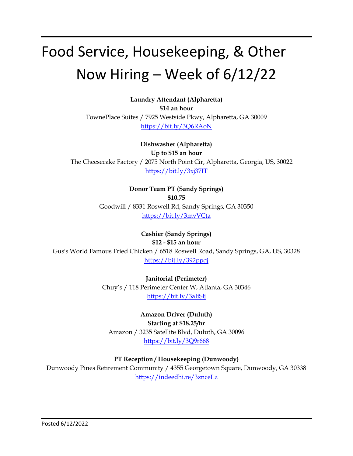# Food Service, Housekeeping, & Other Now Hiring – Week of 6/12/22

**Laundry Attendant (Alpharetta) \$14 an hour** TownePlace Suites / 7925 Westside Pkwy, Alpharetta, GA 30009 <https://bit.ly/3Q6RAoN>

**Dishwasher (Alpharetta) Up to \$15 an hour** The Cheesecake Factory / 2075 North Point Cir, Alpharetta, Georgia, US, 30022 <https://bit.ly/3xj37IT>

> **Donor Team PT (Sandy Springs) \$10.75** Goodwill / 8331 Roswell Rd, Sandy Springs, GA 30350 <https://bit.ly/3mvVCta>

**Cashier (Sandy Springs) \$12 - \$15 an hour** Gus's World Famous Fried Chicken / 6518 Roswell Road, Sandy Springs, GA, US, 30328 <https://bit.ly/392ppqj>

> **Janitorial (Perimeter)** Chuy's / 118 Perimeter Center W, Atlanta, GA 30346 <https://bit.ly/3aIiSlj>

**Amazon Driver (Duluth) Starting at \$18.25/hr** Amazon / 3235 Satellite Blvd, Duluth, GA 30096 <https://bit.ly/3Q9r668>

**PT Reception / Housekeeping (Dunwoody)**

Dunwoody Pines Retirement Community / 4355 Georgetown Square, Dunwoody, GA 30338 <https://indeedhi.re/3znceLz>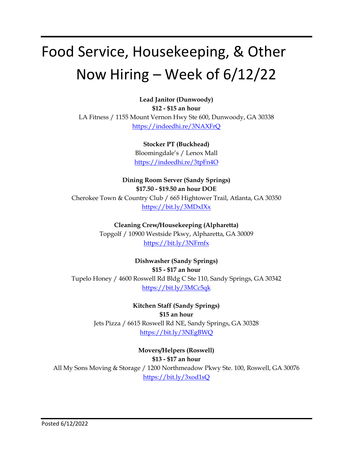# Food Service, Housekeeping, & Other Now Hiring – Week of 6/12/22

**Lead Janitor (Dunwoody) \$12 - \$15 an hour** LA Fitness / 1155 Mount Vernon Hwy Ste 600, Dunwoody, GA 30338 <https://indeedhi.re/3NAXFrQ>

> **Stocker PT (Buckhead)** Bloomingdale's / Lenox Mall <https://indeedhi.re/3tpFn4O>

**Dining Room Server (Sandy Springs) \$17.50 - \$19.50 an hour DOE** Cherokee Town & Country Club / 665 Hightower Trail, Atlanta, GA 30350 <https://bit.ly/3MDxIXx>

> **Cleaning Crew/Housekeeping (Alpharetta)** Topgolf / 10900 Westside Pkwy, Alpharetta, GA 30009 <https://bit.ly/3NFrnfx>

**Dishwasher (Sandy Springs) \$15 - \$17 an hour** Tupelo Honey / 4600 Roswell Rd Bldg C Ste 110, Sandy Springs, GA 30342 <https://bit.ly/3MCc5qk>

> **Kitchen Staff (Sandy Springs) \$15 an hour** Jets Pizza / 6615 Roswell Rd NE, Sandy Springs, GA 30328 <https://bit.ly/3NEgBWQ>

**Movers/Helpers (Roswell) \$13 - \$17 an hour** All My Sons Moving & Storage / 1200 Northmeadow Pkwy Ste. 100, Roswell, GA 30076 <https://bit.ly/3xod1sQ>